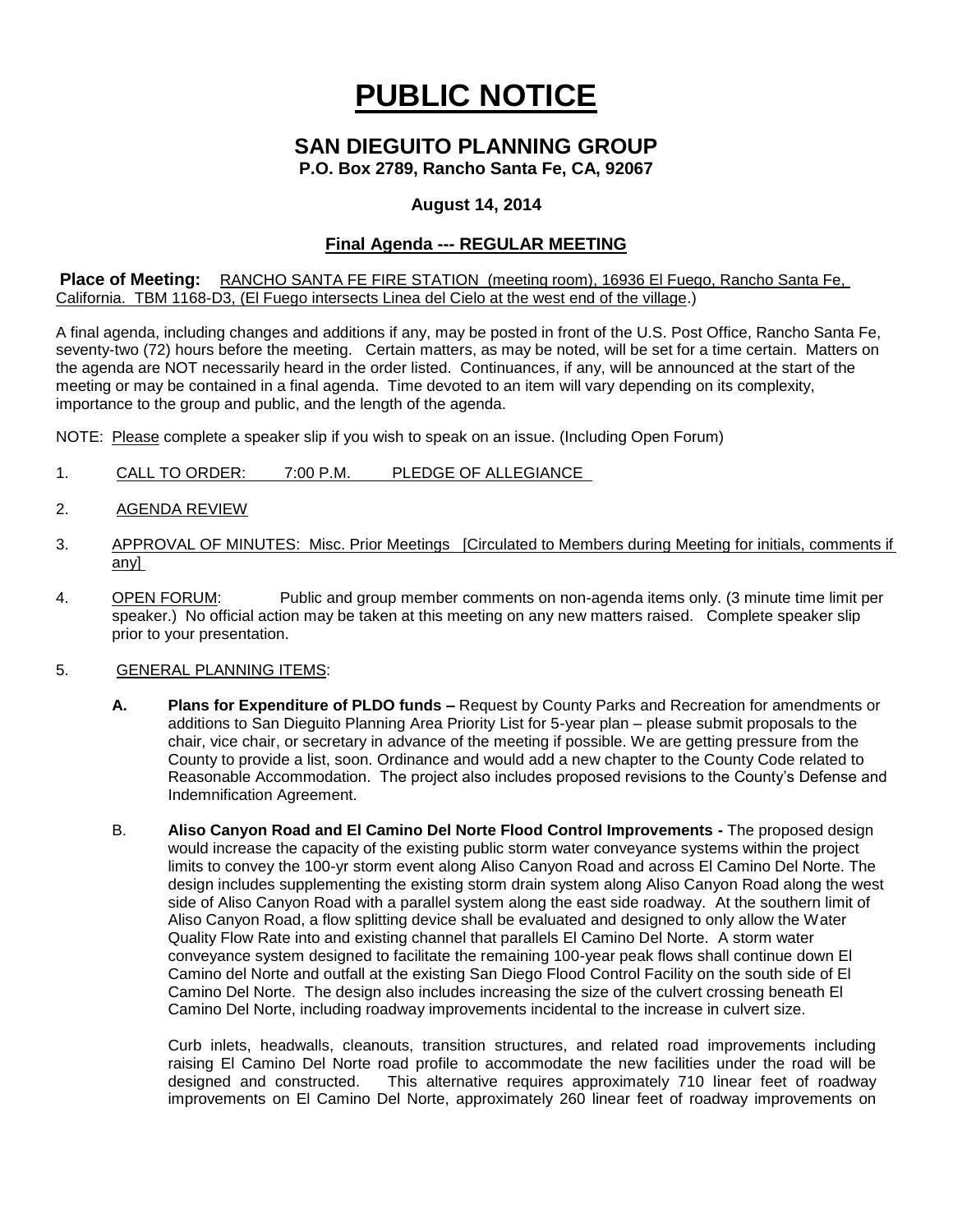# **PUBLIC NOTICE**

# **SAN DIEGUITO PLANNING GROUP**

**P.O. Box 2789, Rancho Santa Fe, CA, 92067**

### **August 14, 2014**

## **Final Agenda --- REGULAR MEETING**

**Place of Meeting:** RANCHO SANTA FE FIRE STATION (meeting room), 16936 El Fuego, Rancho Santa Fe, California. TBM 1168-D3, (El Fuego intersects Linea del Cielo at the west end of the village.)

A final agenda, including changes and additions if any, may be posted in front of the U.S. Post Office, Rancho Santa Fe, seventy-two (72) hours before the meeting. Certain matters, as may be noted, will be set for a time certain. Matters on the agenda are NOT necessarily heard in the order listed. Continuances, if any, will be announced at the start of the meeting or may be contained in a final agenda. Time devoted to an item will vary depending on its complexity, importance to the group and public, and the length of the agenda.

NOTE: Please complete a speaker slip if you wish to speak on an issue. (Including Open Forum)

- 1. CALL TO ORDER: 7:00 P.M. PLEDGE OF ALLEGIANCE
- 2. AGENDA REVIEW
- 3. APPROVAL OF MINUTES: Misc. Prior Meetings [Circulated to Members during Meeting for initials, comments if any]
- 4. OPEN FORUM: Public and group member comments on non-agenda items only. (3 minute time limit per speaker.) No official action may be taken at this meeting on any new matters raised. Complete speaker slip prior to your presentation.
- 5. GENERAL PLANNING ITEMS:
	- **A. Plans for Expenditure of PLDO funds –** Request by County Parks and Recreation for amendments or additions to San Dieguito Planning Area Priority List for 5-year plan – please submit proposals to the chair, vice chair, or secretary in advance of the meeting if possible. We are getting pressure from the County to provide a list, soon. Ordinance and would add a new chapter to the County Code related to Reasonable Accommodation. The project also includes proposed revisions to the County's Defense and Indemnification Agreement.
	- B. **Aliso Canyon Road and El Camino Del Norte Flood Control Improvements -** The proposed design would increase the capacity of the existing public storm water conveyance systems within the project limits to convey the 100-yr storm event along Aliso Canyon Road and across El Camino Del Norte. The design includes supplementing the existing storm drain system along Aliso Canyon Road along the west side of Aliso Canyon Road with a parallel system along the east side roadway. At the southern limit of Aliso Canyon Road, a flow splitting device shall be evaluated and designed to only allow the Water Quality Flow Rate into and existing channel that parallels El Camino Del Norte. A storm water conveyance system designed to facilitate the remaining 100-year peak flows shall continue down El Camino del Norte and outfall at the existing San Diego Flood Control Facility on the south side of El Camino Del Norte. The design also includes increasing the size of the culvert crossing beneath El Camino Del Norte, including roadway improvements incidental to the increase in culvert size.

 Curb inlets, headwalls, cleanouts, transition structures, and related road improvements including raising El Camino Del Norte road profile to accommodate the new facilities under the road will be designed and constructed. This alternative requires approximately 710 linear feet of roadway This alternative requires approximately 710 linear feet of roadway improvements on El Camino Del Norte, approximately 260 linear feet of roadway improvements on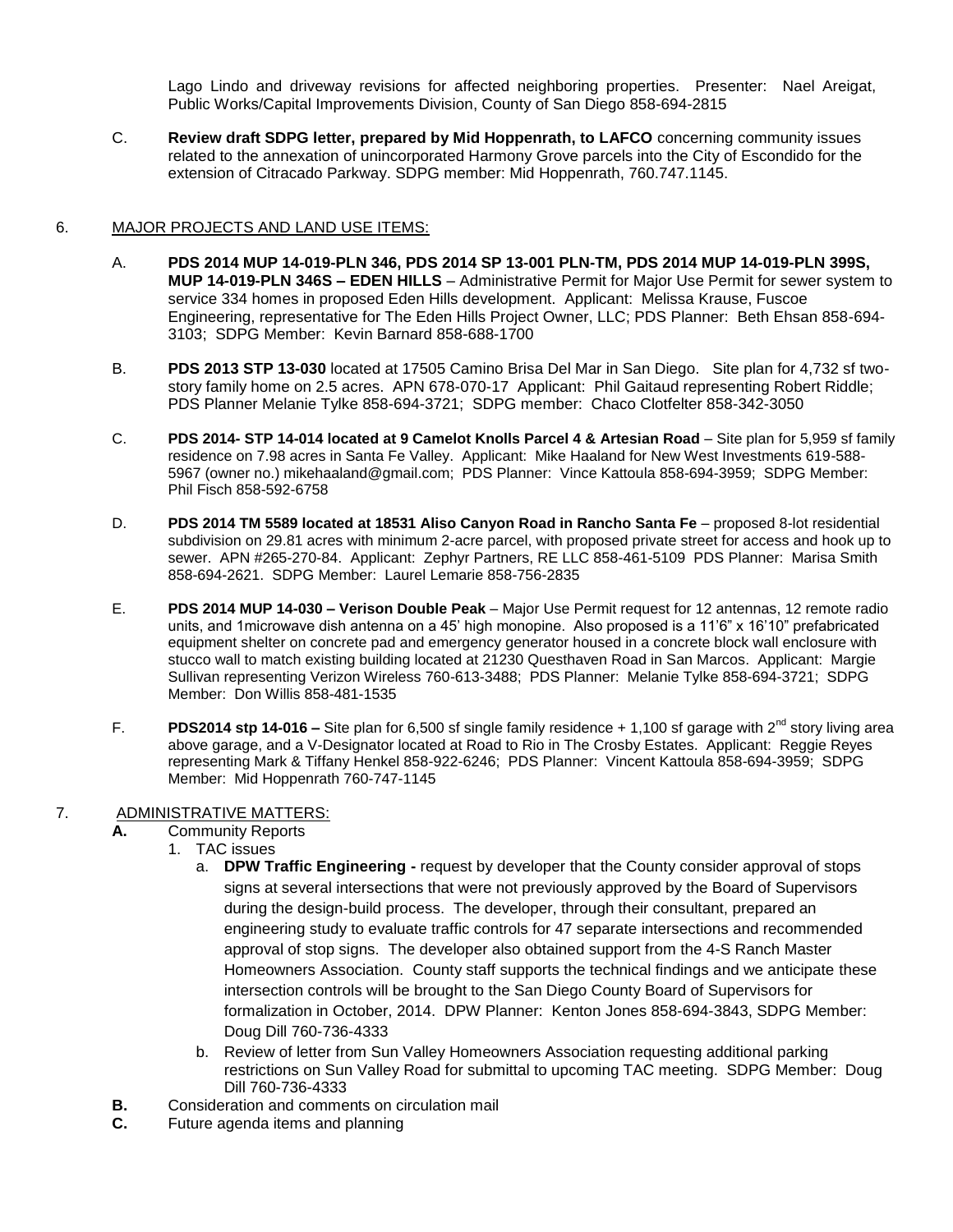Lago Lindo and driveway revisions for affected neighboring properties. Presenter: Nael Areigat, Public Works/Capital Improvements Division, County of San Diego 858-694-2815

C. **Review draft SDPG letter, prepared by Mid Hoppenrath, to LAFCO** concerning community issues related to the annexation of unincorporated Harmony Grove parcels into the City of Escondido for the extension of Citracado Parkway. SDPG member: Mid Hoppenrath, 760.747.1145.

#### 6. MAJOR PROJECTS AND LAND USE ITEMS:

- A. **PDS 2014 MUP 14-019-PLN 346, PDS 2014 SP 13-001 PLN-TM, PDS 2014 MUP 14-019-PLN 399S, MUP 14-019-PLN 346S – EDEN HILLS** – Administrative Permit for Major Use Permit for sewer system to service 334 homes in proposed Eden Hills development. Applicant: Melissa Krause, Fuscoe Engineering, representative for The Eden Hills Project Owner, LLC; PDS Planner: Beth Ehsan 858-694- 3103; SDPG Member: Kevin Barnard 858-688-1700
- B. **PDS 2013 STP 13-030** located at 17505 Camino Brisa Del Mar in San Diego. Site plan for 4,732 sf twostory family home on 2.5 acres. APN 678-070-17 Applicant: Phil Gaitaud representing Robert Riddle; PDS Planner Melanie Tylke 858-694-3721; SDPG member: Chaco Clotfelter 858-342-3050
- C. **PDS 2014- STP 14-014 located at 9 Camelot Knolls Parcel 4 & Artesian Road** Site plan for 5,959 sf family residence on 7.98 acres in Santa Fe Valley. Applicant: Mike Haaland for New West Investments 619-588- 5967 (owner no.) [mikehaaland@gmail.com;](mailto:mikehaaland@gmail.com) PDS Planner: Vince Kattoula 858-694-3959; SDPG Member: Phil Fisch 858-592-6758
- D. **PDS 2014 TM 5589 located at 18531 Aliso Canyon Road in Rancho Santa Fe** proposed 8-lot residential subdivision on 29.81 acres with minimum 2-acre parcel, with proposed private street for access and hook up to sewer. APN #265-270-84. Applicant: Zephyr Partners, RE LLC 858-461-5109 PDS Planner: Marisa Smith 858-694-2621. SDPG Member: Laurel Lemarie 858-756-2835
- E. **PDS 2014 MUP 14-030 – Verison Double Peak** Major Use Permit request for 12 antennas, 12 remote radio units, and 1microwave dish antenna on a 45' high monopine. Also proposed is a 11'6" x 16'10" prefabricated equipment shelter on concrete pad and emergency generator housed in a concrete block wall enclosure with stucco wall to match existing building located at 21230 Questhaven Road in San Marcos. Applicant: Margie Sullivan representing Verizon Wireless 760-613-3488; PDS Planner: Melanie Tylke 858-694-3721; SDPG Member: Don Willis 858-481-1535
- F. **PDS2014 stp 14-016** Site plan for 6,500 sf single family residence + 1,100 sf garage with 2<sup>nd</sup> story living area above garage, and a V-Designator located at Road to Rio in The Crosby Estates. Applicant: Reggie Reyes representing Mark & Tiffany Henkel 858-922-6246; PDS Planner: Vincent Kattoula 858-694-3959; SDPG Member: Mid Hoppenrath 760-747-1145

#### 7. ADMINISTRATIVE MATTERS:

- **A.** Community Reports
	- 1. TAC issues
		- a. **DPW Traffic Engineering -** request by developer that the County consider approval of stops signs at several intersections that were not previously approved by the Board of Supervisors during the design-build process. The developer, through their consultant, prepared an engineering study to evaluate traffic controls for 47 separate intersections and recommended approval of stop signs. The developer also obtained support from the 4-S Ranch Master Homeowners Association. County staff supports the technical findings and we anticipate these intersection controls will be brought to the San Diego County Board of Supervisors for formalization in October, 2014. DPW Planner: Kenton Jones 858-694-3843, SDPG Member: Doug Dill 760-736-4333
		- b. Review of letter from Sun Valley Homeowners Association requesting additional parking restrictions on Sun Valley Road for submittal to upcoming TAC meeting. SDPG Member: Doug Dill 760-736-4333
- **B.** Consideration and comments on circulation mail
- **C.** Future agenda items and planning